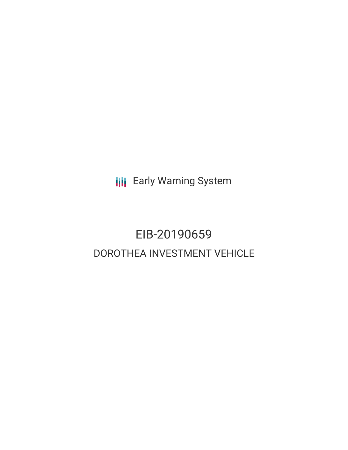**III** Early Warning System

# EIB-20190659 DOROTHEA INVESTMENT VEHICLE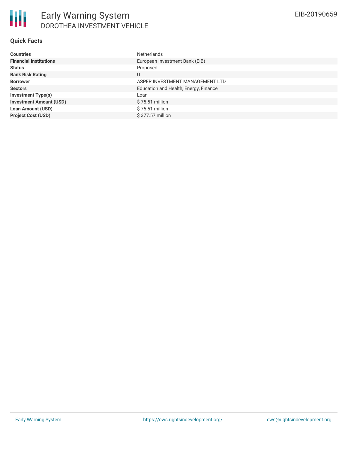## **Quick Facts**

| <b>Countries</b>               | <b>Netherlands</b>                    |
|--------------------------------|---------------------------------------|
| <b>Financial Institutions</b>  | European Investment Bank (EIB)        |
| <b>Status</b>                  | Proposed                              |
| <b>Bank Risk Rating</b>        | U                                     |
| <b>Borrower</b>                | ASPER INVESTMENT MANAGEMENT LTD       |
| <b>Sectors</b>                 | Education and Health, Energy, Finance |
| <b>Investment Type(s)</b>      | Loan                                  |
| <b>Investment Amount (USD)</b> | \$75.51 million                       |
| <b>Loan Amount (USD)</b>       | \$75.51 million                       |
| <b>Project Cost (USD)</b>      | \$377.57 million                      |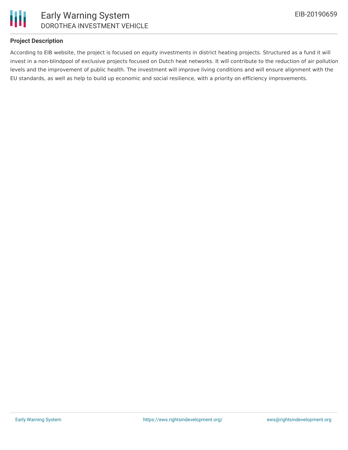

### **Project Description**

According to EIB website, the project is focused on equity investments in district heating projects. Structured as a fund it will invest in a non-blindpool of exclusive projects focused on Dutch heat networks. It will contribute to the reduction of air pollution levels and the improvement of public health. The investment will improve living conditions and will ensure alignment with the EU standards, as well as help to build up economic and social resilience, with a priority on efficiency improvements.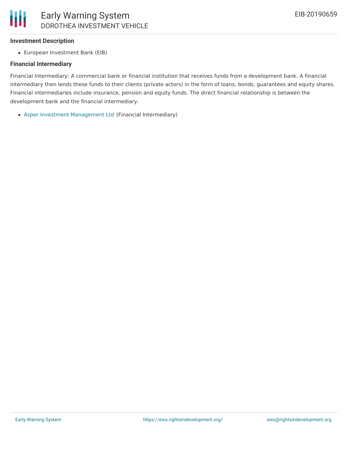### **Investment Description**

European Investment Bank (EIB)

#### **Financial Intermediary**

Financial Intermediary: A commercial bank or financial institution that receives funds from a development bank. A financial intermediary then lends these funds to their clients (private actors) in the form of loans, bonds, guarantees and equity shares. Financial intermediaries include insurance, pension and equity funds. The direct financial relationship is between the development bank and the financial intermediary.

Asper Investment [Management](file:///actor/2925/) Ltd (Financial Intermediary)